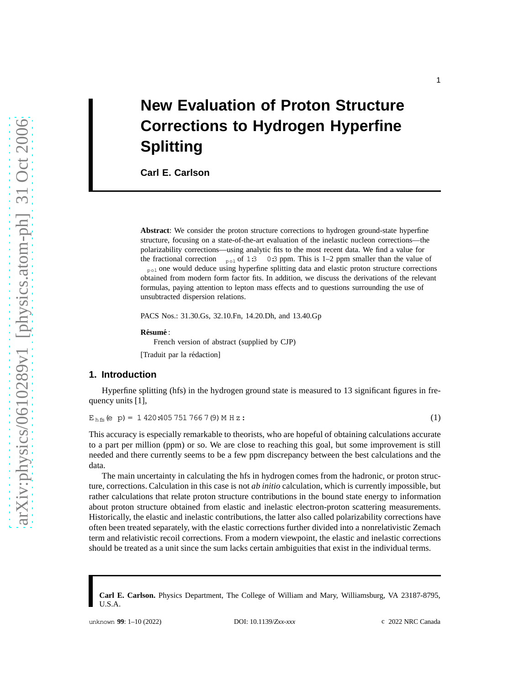# **New Evaluation of Proton Structure Corrections to Hydrogen Hyperfine Splitting**

**Carl E. Carlson**

**Abstract**: We consider the proton structure corrections to hydrogen ground-state hyperfine structure, focusing on a state-of-the-art evaluation of the inelastic nucleon corrections—the polarizability corrections—using analytic fits to the most recent data. We find a value for the fractional correction  $_{\text{pol}}$  of 1:3 0:3 ppm. This is 1–2 ppm smaller than the value of <sub>pol</sub> one would deduce using hyperfine splitting data and elastic proton structure corrections obtained from modern form factor fits. In addition, we discuss the derivations of the relevant formulas, paying attention to lepton mass effects and to questions surrounding the use of unsubtracted dispersion relations.

PACS Nos.: 31.30.Gs, 32.10.Fn, 14.20.Dh, and 13.40.Gp

 $R$ **ésumé** :

French version of abstract (supplied by CJP)

[Traduit par la rédaction]

#### **1. Introduction**

Hyperfine splitting (hfs) in the hydrogen ground state is measured to 13 significant figures in frequency units [1],

 $E_{hfs}(e\ p) = 1\ 420\ 405\ 751\ 766\ 7(9)\ M\ H\ z:\n$ (1)

This accuracy is especially remarkable to theorists, who are hopeful of obtaining calculations accurate to a part per million (ppm) or so. We are close to reaching this goal, but some improvement is still needed and there currently seems to be a few ppm discrepancy between the best calculations and the data.

The main uncertainty in calculating the hfs in hydrogen comes from the hadronic, or proton structure, corrections. Calculation in this case is not *ab initio* calculation, which is currently impossible, but rather calculations that relate proton structure contributions in the bound state energy to information about proton structure obtained from elastic and inelastic electron-proton scattering measurements. Historically, the elastic and inelastic contributions, the latter also called polarizability corrections have often been treated separately, with the elastic corrections further divided into a nonrelativistic Zemach term and relativistic recoil corrections. From a modern viewpoint, the elastic and inelastic corrections should be treated as a unit since the sum lacks certain ambiguities that exist in the individual terms.

**Carl E. Carlson.** Physics Department, The College of William and Mary, Williamsburg, VA 23187-8795, U.S.A.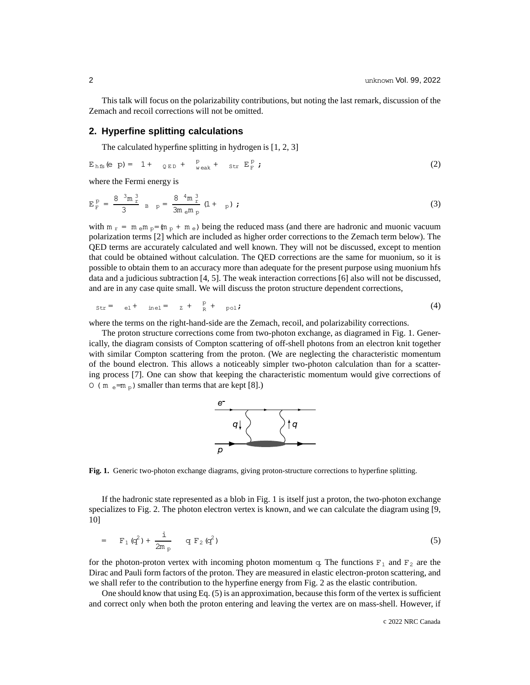This talk will focus on the polarizability contributions, but noting the last remark, discussion of the Zemach and recoil corrections will not be omitted.

### **2. Hyperfine splitting calculations**

The calculated hyperfine splitting in hydrogen is [1, 2, 3]

$$
E_{hfs}(e\ p) = 1 + \rho_{E} + \frac{P}{\text{weak}} + \text{str } E_F^P;
$$
 (2)

where the Fermi energy is

$$
E_{F}^{p} = \frac{8 \frac{3m}{2} \frac{3m}{2}}{3} \quad B \quad p = \frac{8 \frac{4m}{2} \frac{3}{2m}}{3m \, \epsilon m \, p} \left(1 + \quad p\right) \tag{3}
$$

with  $m_r = m_{e}m_p = (m_p + m_e)$  being the reduced mass (and there are hadronic and muonic vacuum polarization terms [2] which are included as higher order corrections to the Zemach term below). The QED terms are accurately calculated and well known. They will not be discussed, except to mention that could be obtained without calculation. The QED corrections are the same for muonium, so it is possible to obtain them to an accuracy more than adequate for the present purpose using muonium hfs data and a judicious subtraction [4, 5]. The weak interaction corrections [6] also will not be discussed, and are in any case quite small. We will discuss the proton structure dependent corrections,

$$
str = el + inel = z + \frac{p}{R} + pol
$$
 (4)

where the terms on the right-hand-side are the Zemach, recoil, and polarizability corrections.

The proton structure corrections come from two-photon exchange, as diagramed in Fig. 1. Generically, the diagram consists of Compton scattering of off-shell photons from an electron knit together with similar Compton scattering from the proton. (We are neglecting the characteristic momentum of the bound electron. This allows a noticeably simpler two-photon calculation than for a scattering process [7]. One can show that keeping the characteristic momentum would give corrections of O (m  $_e = m_p$ ) smaller than terms that are kept [8].)



**Fig. 1.** Generic two-photon exchange diagrams, giving proton-structure corrections to hyperfine splitting.

If the hadronic state represented as a blob in Fig. 1 is itself just a proton, the two-photon exchange specializes to Fig. 2. The photon electron vertex is known, and we can calculate the diagram using [9, 10]

$$
= F_1 (q^2) + \frac{i}{2m_p} q F_2 (q^2)
$$
 (5)

for the photon-proton vertex with incoming photon momentum q. The functions  $F_1$  and  $F_2$  are the Dirac and Pauli form factors of the proton. They are measured in elastic electron-proton scattering, and we shall refer to the contribution to the hyperfine energy from Fig. 2 as the elastic contribution.

One should know that using Eq. (5) is an approximation, because this form of the vertex is sufficient and correct only when both the proton entering and leaving the vertex are on mass-shell. However, if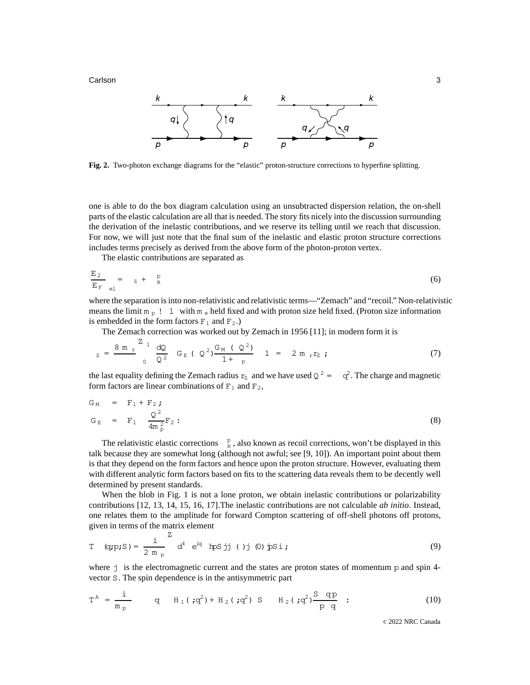**Carlson** 3 **3** 



**Fig. 2.** Two-photon exchange diagrams for the "elastic" proton-structure corrections to hyperfine splitting.

one is able to do the box diagram calculation using an unsubtracted dispersion relation, the on-shell parts of the elastic calculation are all that is needed. The story fits nicely into the discussion surrounding the derivation of the inelastic contributions, and we reserve its telling until we reach that discussion. For now, we will just note that the final sum of the inelastic and elastic proton structure corrections includes terms precisely as derived from the above form of the photon-proton vertex.

The elastic contributions are separated as

$$
\frac{E_2}{E_F} = z + \frac{p}{R}
$$
 (6)

where the separation is into non-relativistic and relativistic terms—"Zemach" and "recoil." Non-relativistic means the limit  $m_p$  ! 1 with  $m_e$  held fixed and with proton size held fixed. (Proton size information is embedded in the form factors  $F_1$  and  $F_2$ .)

The Zemach correction was worked out by Zemach in 1956 [11]; in modern form it is

$$
z = \frac{8 \text{ m } r}{0} \frac{Z}{Q^2} G_E (Q^2) \frac{G_M (Q^2)}{1 + p} 1 = 2 \text{ m } r r z ; \qquad (7)
$$

the last equality defining the Zemach radius  $r_z$  and we have used  $Q^2 = -q^2$ . The charge and magnetic form factors are linear combinations of  $F_1$  and  $F_2$ ,

$$
G_M = F_1 + F_2;
$$
  
\n
$$
G_E = F_1 \frac{Q^2}{4m_p^2} F_2:
$$
\n(8)

The relativistic elastic corrections  $\frac{p}{R}$ , also known as recoil corrections, won't be displayed in this talk because they are somewhat long (although not awful; see [9, 10]). An important point about them is that they depend on the form factors and hence upon the proton structure. However, evaluating them with different analytic form factors based on fits to the scattering data reveals them to be decently well determined by present standards.

When the blob in Fig. 1 is not a lone proton, we obtain inelastic contributions or polarizability contributions [12, 13, 14, 15, 16, 17].The inelastic contributions are not calculable *ab initio*. Instead, one relates them to the amplitude for forward Compton scattering of off-shell photons off protons, given in terms of the matrix element

T (q:p;S) = 
$$
\frac{i}{2 m_p}^{\text{Z}}
$$
 d<sup>4</sup> e<sup>iq</sup> hps jj ()j (0) js'i ; (9)

where j is the electromagnetic current and the states are proton states of momentum p and spin 4vector S. The spin dependence is in the antisymmetric part

$$
T^{A} = \frac{i}{m_{p}}
$$
 q  $H_{1}(;q^{2}) + H_{2}(;q^{2}) S$   $H_{2}(;q^{2}) \frac{Sqp}{pq}$  : (10)

c 2022 NRC Canada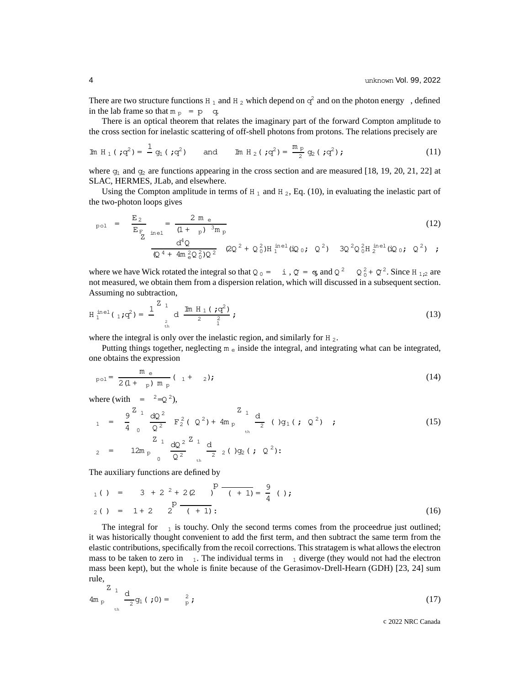There are two structure functions H<sub>1</sub> and H<sub>2</sub> which depend on  $q^2$  and on the photon energy , defined in the lab frame so that  $m_p = p$  q.

There is an optical theorem that relates the imaginary part of the forward Compton amplitude to the cross section for inelastic scattering of off-shell photons from protons. The relations precisely are

Im H<sub>1</sub> (
$$
\mathbf{q}^2
$$
) =  $\frac{1}{2}$  g<sub>1</sub> ( $\mathbf{q}^2$ ) and Im H<sub>2</sub> ( $\mathbf{q}^2$ ) =  $\frac{m_p}{2}$  g<sub>2</sub> ( $\mathbf{q}^2$ ) ; (11)

where  $g_1$  and  $g_2$  are functions appearing in the cross section and are measured [18, 19, 20, 21, 22] at SLAC, HERMES, JLab, and elsewhere.

Using the Compton amplitude in terms of  $H_1$  and  $H_2$ , Eq. (10), in evaluating the inelastic part of the two-photon loops gives

$$
_{pol} = \frac{E_2}{E_F} = \frac{2 m e}{(1 + p)^{3} m p}
$$
(12)  

$$
\frac{d^4 Q}{Q^4 + 4 m e^2 Q_0^2 Q^2} \quad (2Q^2 + Q_0^2) H_1^{inel} (iQ_0; Q^2) \quad 3Q^2 Q_0^2 H_2^{inel} (iQ_0; Q^2) ;
$$

where we have Wick rotated the integral so that  $Q_0 = i$ ,  $Q = \sigma$ , and  $Q^2$   $Q_0^2 + Q^2$ . Since H<sub>1;2</sub> are not measured, we obtain them from a dispersion relation, which will discussed in a subsequent section. Assuming no subtraction,

$$
H_1^{\text{inel}}(1; q^2) = \frac{1}{q} \sum_{\substack{1 \text{th} \\ \text{th}}}^{Z} \frac{1}{q} \frac{1}{q} \frac{1}{q} \frac{1}{q} \frac{1}{q} \frac{1}{q} \frac{1}{q} \tag{13}
$$

where the integral is only over the inelastic region, and similarly for H<sub>2</sub>.

Putting things together, neglecting  $m_e$  inside the integral, and integrating what can be integrated, one obtains the expression

$$
_{\text{pol}} = \frac{m_e}{2(1 + p) m_p} (1 + 2); \tag{14}
$$

where (with  $=$   $2=Q^2$ ),

$$
_{1} = \frac{9}{4} \frac{z_{1}}{0} \frac{dQ^{2}}{Q^{2}} F_{2}^{2} (Q^{2}) + 4m_{p} \frac{z_{1}}{t_{h}} \frac{d}{2} (Q^{2}) \qquad (15)
$$
\n
$$
_{2} = 12m_{p} \frac{z_{1}}{0} \frac{dQ^{2}}{Q^{2}} \frac{z_{1}}{t_{h}} \frac{d}{2} (Q^{2}) (Q^{2}) :
$$

The auxiliary functions are defined by

$$
P_1(1) = 3 + 2^2 + 2(2) P_1(1) = \frac{9}{4} (1);
$$
  
\n
$$
P_2(1) = 1 + 2 \t P_2(1) = \frac{P_1(1)}{P_1(1)}.
$$
 (16)

The integral for  $_1$  is touchy. Only the second terms comes from the proceedrue just outlined; it was historically thought convenient to add the first term, and then subtract the same term from the elastic contributions, specifically from the recoil corrections. This stratagem is what allows the electron mass to be taken to zero in  $_1$ . The individual terms in  $_1$  diverge (they would not had the electron mass been kept), but the whole is finite because of the Gerasimov-Drell-Hearn (GDH) [23, 24] sum rule,

$$
4m_p \frac{Z_1}{Z_2} q_1 ( ;0 ) = \frac{2}{p} ; \qquad (17)
$$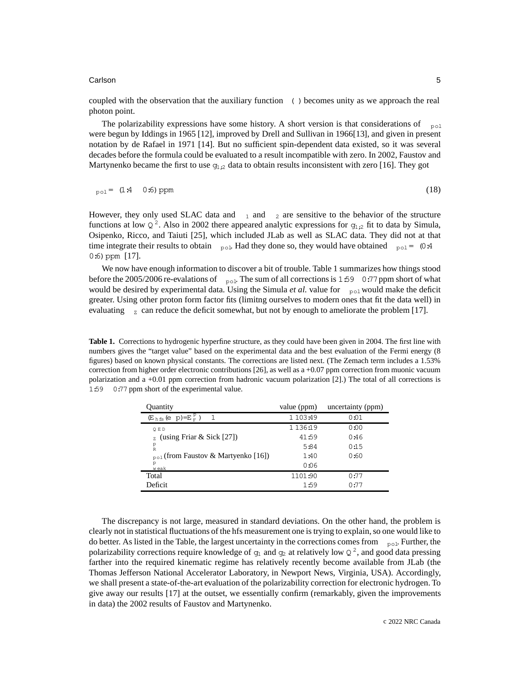#### Carlson 5

coupled with the observation that the auxiliary function ( )becomes unity as we approach the real photon point.

The polarizability expressions have some history. A short version is that considerations of  $_{\text{pol}}$ were begun by Iddings in 1965 [12], improved by Drell and Sullivan in 1966[13], and given in present notation by de Rafael in 1971 [14]. But no sufficient spin-dependent data existed, so it was several decades before the formula could be evaluated to a result incompatible with zero. In 2002, Faustov and Martynenko became the first to use  $g_{1,2}$  data to obtain results inconsistent with zero [16]. They got

$$
p_{\text{pol}} = (1.4 \quad 0.6) \text{ ppm}
$$
 (18)

However, they only used SLAC data and  $_1$  and  $_2$  are sensitive to the behavior of the structure functions at low  $Q^2$ . Also in 2002 there appeared analytic expressions for  $g_{1i2}$  fit to data by Simula, Osipenko, Ricco, and Taiuti [25], which included JLab as well as SLAC data. They did not at that time integrate their results to obtain  $_{\text{pol}}$ . Had they done so, they would have obtained  $_{\text{pol}} = (0.4$ 0:6) ppm [17].

We now have enough information to discover a bit of trouble. Table 1 summarizes how things stood before the 2005/2006 re-evalations of  $_{\text{pol}}$ . The sum of all corrections is 1:59 0:77 ppm short of what would be desired by experimental data. Using the Simula *et al.* value for  $_{\text{pol}}$  would make the deficit greater. Using other proton form factor fits (limitng ourselves to modern ones that fit the data well) in evaluating  $\bar{z}$  can reduce the deficit somewhat, but not by enough to ameliorate the problem [17].

**Table 1.** Corrections to hydrogenic hyperfine structure, as they could have been given in 2004. The first line with numbers gives the "target value" based on the experimental data and the best evaluation of the Fermi energy (8 figures) based on known physical constants. The corrections are listed next. (The Zemach term includes a 1.53% correction from higher order electronic contributions [26], as well as  $a + 0.07$  ppm correction from muonic vacuum polarization and a +0.01 ppm correction from hadronic vacuum polarization [2].) The total of all corrections is 1:59 0:77 ppm short of the experimental value.

| Quantity                                       | value (ppm)   | uncertainty (ppm) |
|------------------------------------------------|---------------|-------------------|
| $(E_{hfs}(e p)=E_{r}^{p})$                     | 1 103:49      | 0:01              |
| QED                                            | 1 1 3 6 : 1 9 | 0:00              |
| (using Friar $\&$ Sick [27])<br>$\mathbf{z}$   | 41:59         | 0:46              |
| $_{\rm R}^{\rm p}$                             | 5:84          | 0:15              |
| <sub>pol</sub> (from Faustov & Martyenko [16]) | 1:40          | 0:60              |
| p<br>weak                                      | 0:06          |                   |
| Total                                          | 1101:90       | 0:77              |
| Deficit                                        | 1:59          | 0:77              |
|                                                |               |                   |

The discrepancy is not large, measured in standard deviations. On the other hand, the problem is clearly not in statistical fluctuations of the hfs measurement one is trying to explain, so one would like to do better. As listed in the Table, the largest uncertainty in the corrections comes from  $_{\text{pol}}$ . Further, the polarizability corrections require knowledge of  $g_1$  and  $g_2$  at relatively low  $Q^2$ , and good data pressing farther into the required kinematic regime has relatively recently become available from JLab (the Thomas Jefferson National Accelerator Laboratory, in Newport News, Virginia, USA). Accordingly, we shall present a state-of-the-art evaluation of the polarizability correction for electronic hydrogen. To give away our results [17] at the outset, we essentially confirm (remarkably, given the improvements in data) the 2002 results of Faustov and Martynenko.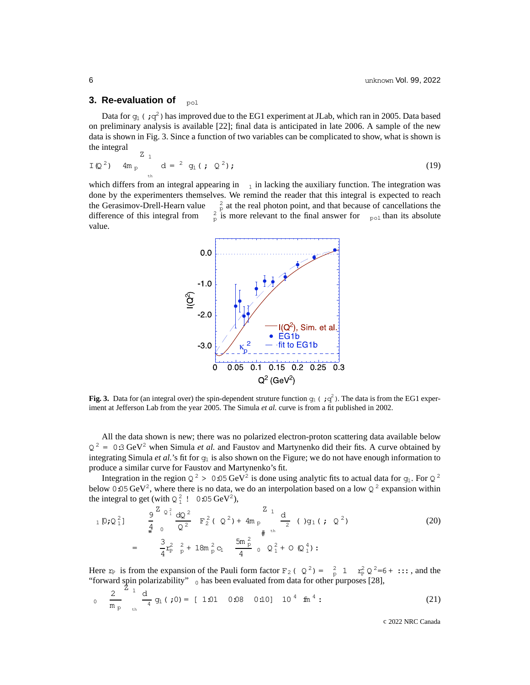## **3. Re-evaluation of** pol

Data for  $g_1$  (; $g^2$ ) has improved due to the EG1 experiment at JLab, which ran in 2005. Data based on preliminary analysis is available [22]; final data is anticipated in late 2006. A sample of the new data is shown in Fig. 3. Since a function of two variables can be complicated to show, what is shown is the integral  $Z_{\rm I}$ 

$$
I(Q^2)
$$
 4m<sub>p</sub>  $d = \begin{pmatrix} 2 & q_1 \\ q_2 & q_3 \end{pmatrix}$ ; (19)

which differs from an integral appearing in  $\alpha$  in lacking the auxiliary function. The integration was done by the experimenters themselves. We remind the reader that this integral is expected to reach the Gerasimov-Drell-Hearn value  $_{\rm p}^2$  at the real photon point, and that because of cancellations the difference of this integral from  $_{\text{p}}^2$  is more relevant to the final answer for  $_{\text{pol}}$  than its absolute value.



**Fig. 3.** Data for (an integral over) the spin-dependent struture function  $g_1$  ( $\mathbf{q}^2$ ). The data is from the EG1 experiment at Jefferson Lab from the year 2005. The Simula *et al.* curve is from a fit published in 2002.

All the data shown is new; there was no polarized electron-proton scattering data available below  $Q^2 = 0:3 \text{ GeV}^2$  when Simula *et al.* and Faustov and Martynenko did their fits. A curve obtained by integrating Simula *et al.*'s fit for  $g_1$  is also shown on the Figure; we do not have enough information to produce a similar curve for Faustov and Martynenko's fit.

Integration in the region  $Q^2 > 0.05 \text{ GeV}^2$  is done using analytic fits to actual data for  $g_1$ . For  $Q^2$ below 0.05 GeV<sup>2</sup>, where there is no data, we do an interpolation based on a low  $Q^2$  expansion within the integral to get (with  $Q_1^2$ ! 0:05 GeV<sup>2</sup>),

$$
{}_{1}D;Q_{1}^{2} = \frac{9}{4} \int_{0}^{Z_{Q_{1}^{2}}} \frac{dQ^{2}}{Q^{2}} F_{2}^{2}(Q^{2}) + 4m_{p} \frac{d}{d} (9q_{1}(7Q^{2})
$$
\n
$$
= \frac{3}{4} r_{p}^{2} \frac{2}{p} + 18m_{p}^{2} c_{1} \frac{5m_{p}^{2}}{4} \frac{0}{2} Q_{1}^{2} + 0 (Q_{1}^{4}) :
$$
\n
$$
(20)
$$

Here  $r_P$  is from the expansion of the Pauli form factor  $F_2$  (  $Q^2$ ) =  $\frac{2}{p}$  1  $r_P^2 Q^2 = 6 + \dots$ , and the "forward spin polarizability"  $_0$  has been evaluated from data for other purposes [28],

$$
0 \quad \frac{2}{m_p} \quad \frac{1}{m_q} \quad \frac{d}{d} \quad g_1 \quad (0) = [1.01 \quad 0.08 \quad 0.10] \quad 10^4 \quad \text{fm}^4 \tag{21}
$$

c 2022 NRC Canada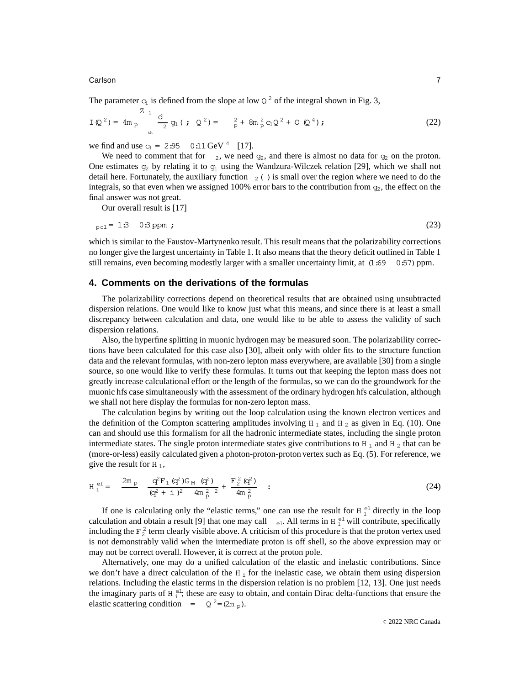#### **Carlson 7 میں اس کا انتخاب کی اس کا انتخاب کرنا ہے اور اس کا انتخاب کرنا ہے اور انتخاب کرنا ہے اور انتخاب کرن**

The parameter  $c_1$  is defined from the slope at low  $Q^2$  of the integral shown in Fig. 3,

$$
I(Q^{2}) = 4m_{p} \sum_{\text{th}}^{Z} q_{1} ( ; Q^{2}) = \sum_{p}^{2} 4m_{p}^{2} c_{1} Q^{2} + O(Q^{4}) ; \qquad (22)
$$

we find and use  $c_1 = 2.95$  0:11 GeV <sup>4</sup> [17].

We need to comment that for  $z$ , we need  $g_2$ , and there is almost no data for  $g_2$  on the proton. One estimates  $g_2$  by relating it to  $g_1$  using the Wandzura-Wilczek relation [29], which we shall not detail here. Fortunately, the auxiliary function  $_2$  ( ) is small over the region where we need to do the integrals, so that even when we assigned 100% error bars to the contribution from  $g<sub>2</sub>$ , the effect on the final answer was not great.

Our overall result is [17]

$$
_{\text{pol}} = 13 \quad 03 \text{ ppm}
$$
 (23)

which is similar to the Faustov-Martynenko result. This result means that the polarizability corrections no longer give the largest uncertainty in Table 1. It also means that the theory deficit outlined in Table 1 still remains, even becoming modestly larger with a smaller uncertainty limit, at  $(1.69 \ 0.57)$  ppm.

#### **4. Comments on the derivations of the formulas**

The polarizability corrections depend on theoretical results that are obtained using unsubtracted dispersion relations. One would like to know just what this means, and since there is at least a small discrepancy between calculation and data, one would like to be able to assess the validity of such dispersion relations.

Also, the hyperfine splitting in muonic hydrogen may be measured soon. The polarizability corrections have been calculated for this case also [30], albeit only with older fits to the structure function data and the relevant formulas, with non-zero lepton mass everywhere, are available [30] from a single source, so one would like to verify these formulas. It turns out that keeping the lepton mass does not greatly increase calculational effort or the length of the formulas, so we can do the groundwork for the muonic hfs case simultaneously with the assessment of the ordinary hydrogen hfs calculation, although we shall not here display the formulas for non-zero lepton mass.

The calculation begins by writing out the loop calculation using the known electron vertices and the definition of the Compton scattering amplitudes involving  $H_1$  and  $H_2$  as given in Eq. (10). One can and should use this formalism for all the hadronic intermediate states, including the single proton intermediate states. The single proton intermediate states give contributions to H<sub>1</sub> and H<sub>2</sub> that can be (more-or-less) easily calculated given a photon-proton-proton vertex such as Eq. (5). For reference, we give the result for  $H_1$ ,

$$
H_1^{\text{el}} = \frac{2m_p}{(q^2 + i)^2} \frac{q^2 F_1 (q^2) G_M (q^2)}{(q^2 + i)^2 4m_p^2} + \frac{F_2^2 (q^2)}{4m_p^2} : \qquad (24)
$$

If one is calculating only the "elastic terms," one can use the result for  $H_1^{\text{el}}$  directly in the loop calculation and obtain a result [9] that one may call  $_{el}$ . All terms in H $_{1}^{el}$  will contribute, specifically including the  $F_2^2$  term clearly visible above. A criticism of this procedure is that the proton vertex used is not demonstrably valid when the intermediate proton is off shell, so the above expression may or may not be correct overall. However, it is correct at the proton pole.

Alternatively, one may do a unified calculation of the elastic and inelastic contributions. Since we don't have a direct calculation of the  $H_1$  for the inelastic case, we obtain them using dispersion relations. Including the elastic terms in the dispersion relation is no problem [12, 13]. One just needs the imaginary parts of  $H_i^{el}$ ; these are easy to obtain, and contain Dirac delta-functions that ensure the elastic scattering condition =  $Q^2 = (2m_p)$ .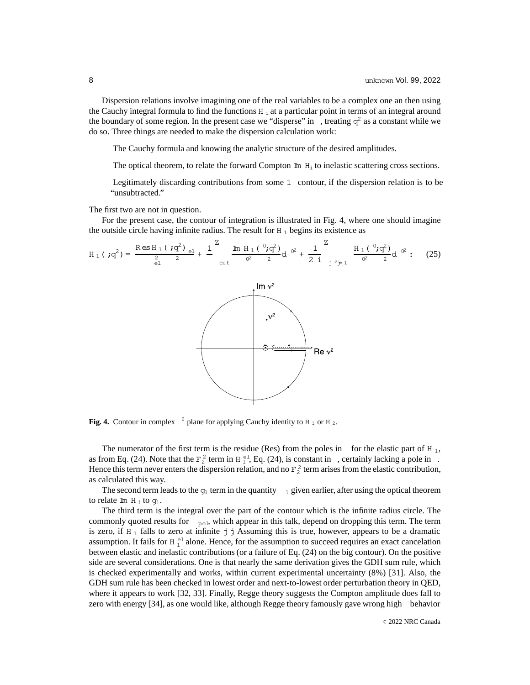Dispersion relations involve imagining one of the real variables to be a complex one an then using the Cauchy integral formula to find the functions  $H_i$  at a particular point in terms of an integral around the boundary of some region. In the present case we "disperse" in , treating  $q^2$  as a constant while we do so. Three things are needed to make the dispersion calculation work:

The Cauchy formula and knowing the analytic structure of the desired amplitudes.

The optical theorem, to relate the forward Compton  $\text{Im } H_i$  to inelastic scattering cross sections.

Legitimately discarding contributions from some 1 contour, if the dispersion relation is to be "unsubtracted."

The first two are not in question.

For the present case, the contour of integration is illustrated in Fig. 4, where one should imagine the outside circle having infinite radius. The result for  $H_1$  begins its existence as

$$
H_1 (7q^2) = \frac{\text{Res } H_1 (7q^2)_{el}}{\frac{2}{q}^2} + \frac{1}{q} \frac{\text{Im } H_1 (^0; q^2)}{\alpha t} d^{02} + \frac{1}{2} \frac{Z}{i} \frac{H_1 (^0; q^2)}{\alpha t^2} d^{02}.
$$
 (25)



Fig. 4. Contour in complex  $^2$  plane for applying Cauchy identity to H<sub>1</sub> or H<sub>2</sub>.

The numerator of the first term is the residue (Res) from the poles in for the elastic part of H  $_1$ , as from Eq. (24). Note that the  $F_2^2$  term in H $_1^{\text{el}}$ , Eq. (24), is constant in , certainly lacking a pole in. Hence this term never enters the dispersion relation, and no  $F_2^2$  term arises from the elastic contribution, as calculated this way.

The second term leads to the  $g_1$  term in the quantity  $_1$  given earlier, after using the optical theorem to relate Im H<sub>i</sub> to  $q_1$ .

The third term is the integral over the part of the contour which is the infinite radius circle. The commonly quoted results for  $_{\text{pol}}$ , which appear in this talk, depend on dropping this term. The term is zero, if  $H_1$  falls to zero at infinite j j Assuming this is true, however, appears to be a dramatic assumption. It fails for  $H_1^{\text{el}}$  alone. Hence, for the assumption to succeed requires an exact cancelation between elastic and inelastic contributions (or a failure of Eq. (24) on the big contour). On the positive side are several considerations. One is that nearly the same derivation gives the GDH sum rule, which is checked experimentally and works, within current experimental uncertainty (8%) [31]. Also, the GDH sum rule has been checked in lowest order and next-to-lowest order perturbation theory in QED, where it appears to work [32, 33]. Finally, Regge theory suggests the Compton amplitude does fall to zero with energy [34], as one would like, although Regge theory famously gave wrong high behavior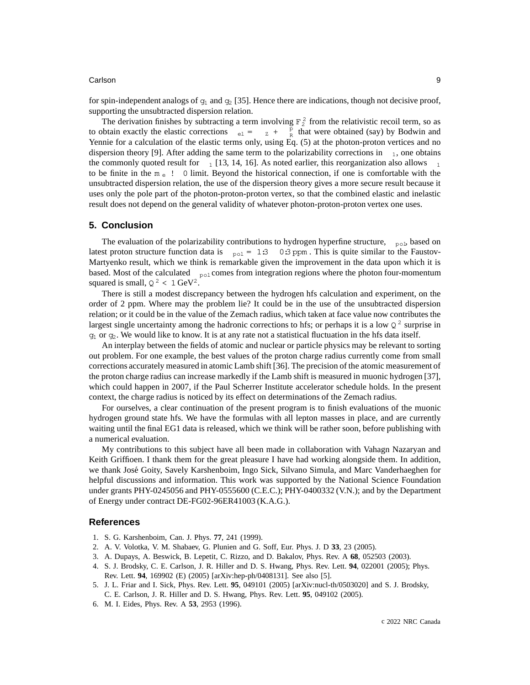#### Carlson 9

for spin-independent analogs of  $q_1$  and  $q_2$  [35]. Hence there are indications, though not decisive proof, supporting the unsubtracted dispersion relation.

The derivation finishes by subtracting a term involving  $F_2^2$  from the relativistic recoil term, so as to obtain exactly the elastic corrections  $e_l = \frac{p}{z} + \frac{p}{R}$  that were obtained (say) by Bodwin and Yennie for a calculation of the elastic terms only, using Eq. (5) at the photon-proton vertices and no dispersion theory [9]. After adding the same term to the polarizability corrections in  $_1$ , one obtains the commonly quoted result for  $\frac{1}{1}$  [13, 14, 16]. As noted earlier, this reorganization also allows to be finite in the  $m_e$ ! O limit. Beyond the historical connection, if one is comfortable with the unsubtracted dispersion relation, the use of the dispersion theory gives a more secure result because it uses only the pole part of the photon-proton-proton vertex, so that the combined elastic and inelastic result does not depend on the general validity of whatever photon-proton-proton vertex one uses.

#### **5. Conclusion**

The evaluation of the polarizability contributions to hydrogen hyperfine structure,  $_{\text{pol}}$  based on latest proton structure function data is  $_{\text{pol}} = 1:300:3$  ppm. This is quite similar to the Faustov-Martyenko result, which we think is remarkable given the improvement in the data upon which it is based. Most of the calculated  $_{\text{pol}}$  comes from integration regions where the photon four-momentum squared is small,  $Q^2 < 1 \text{ GeV}^2$ .

There is still a modest discrepancy between the hydrogen hfs calculation and experiment, on the order of 2 ppm. Where may the problem lie? It could be in the use of the unsubtracted dispersion relation; or it could be in the value of the Zemach radius, which taken at face value now contributes the largest single uncertainty among the hadronic corrections to hfs; or perhaps it is a low  $Q^2$  surprise in  $q_1$  or  $q_2$ . We would like to know. It is at any rate not a statistical fluctuation in the hfs data itself.

An interplay between the fields of atomic and nuclear or particle physics may be relevant to sorting out problem. For one example, the best values of the proton charge radius currently come from small corrections accurately measured in atomic Lamb shift [36]. The precision of the atomic measurement of the proton charge radius can increase markedly if the Lamb shift is measured in muonic hydrogen [37], which could happen in 2007, if the Paul Scherrer Institute accelerator schedule holds. In the present context, the charge radius is noticed by its effect on determinations of the Zemach radius.

For ourselves, a clear continuation of the present program is to finish evaluations of the muonic hydrogen ground state hfs. We have the formulas with all lepton masses in place, and are currently waiting until the final EG1 data is released, which we think will be rather soon, before publishing with a numerical evaluation.

My contributions to this subject have all been made in collaboration with Vahagn Nazaryan and Keith Griffioen. I thank them for the great pleasure I have had working alongside them. In addition, we thank José Goity, Savely Karshenboim, Ingo Sick, Silvano Simula, and Marc Vanderhaeghen for helpful discussions and information. This work was supported by the National Science Foundation under grants PHY-0245056 and PHY-0555600 (C.E.C.); PHY-0400332 (V.N.); and by the Department of Energy under contract DE-FG02-96ER41003 (K.A.G.).

#### **References**

- 1. S. G. Karshenboim, Can. J. Phys. **77**, 241 (1999).
- 2. A. V. Volotka, V. M. Shabaev, G. Plunien and G. Soff, Eur. Phys. J. D **33**, 23 (2005).
- 3. A. Dupays, A. Beswick, B. Lepetit, C. Rizzo, and D. Bakalov, Phys. Rev. A **68**, 052503 (2003).
- 4. S. J. Brodsky, C. E. Carlson, J. R. Hiller and D. S. Hwang, Phys. Rev. Lett. **94**, 022001 (2005); Phys. Rev. Lett. **94**, 169902 (E) (2005) [arXiv:hep-ph/0408131]. See also [5].
- 5. J. L. Friar and I. Sick, Phys. Rev. Lett. **95**, 049101 (2005) [arXiv:nucl-th/0503020] and S. J. Brodsky, C. E. Carlson, J. R. Hiller and D. S. Hwang, Phys. Rev. Lett. **95**, 049102 (2005).
- 6. M. I. Eides, Phys. Rev. A **53**, 2953 (1996).